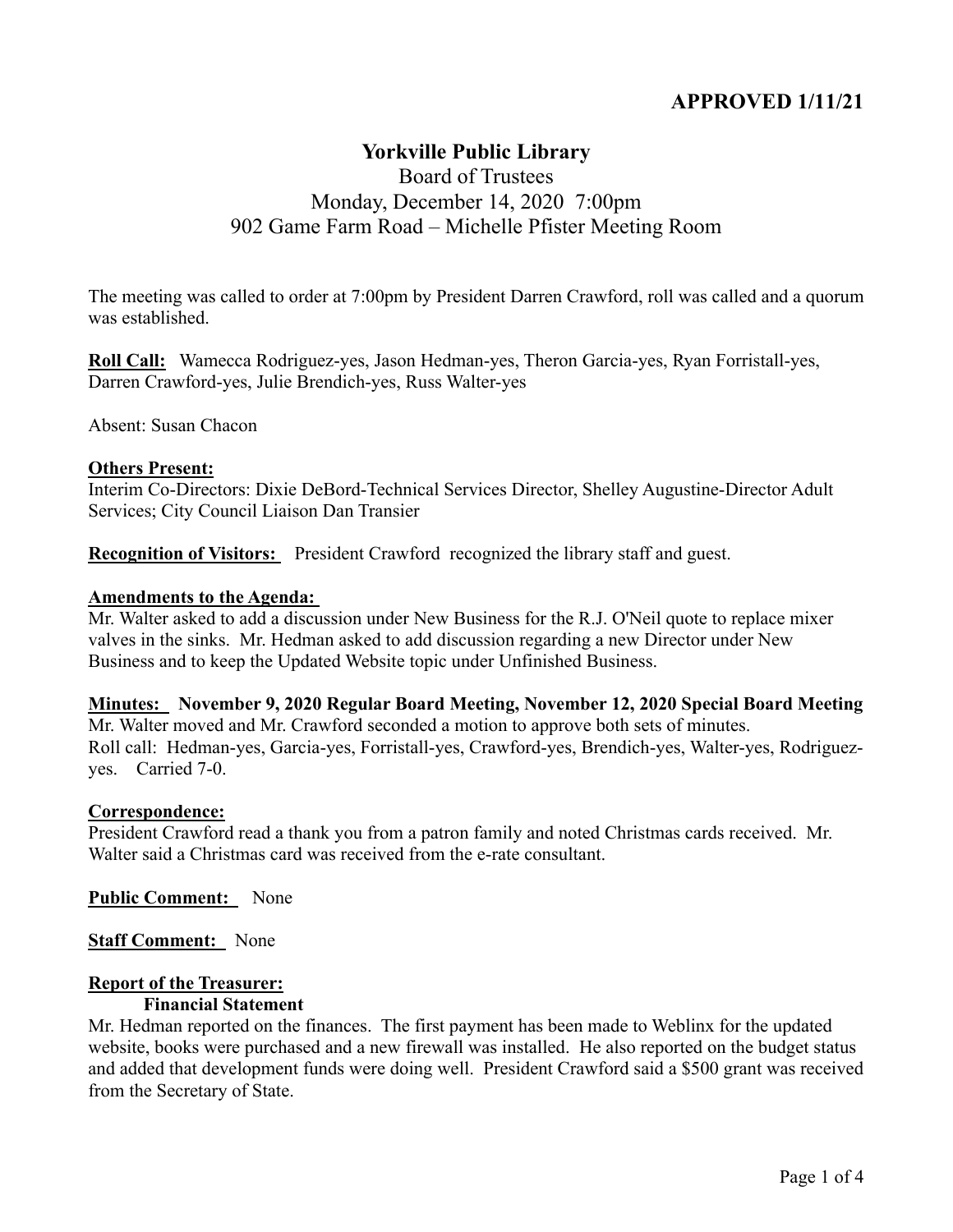# **APPROVED 1/11/21**

# **Yorkville Public Library**

# Board of Trustees Monday, December 14, 2020 7:00pm 902 Game Farm Road – Michelle Pfister Meeting Room

The meeting was called to order at 7:00pm by President Darren Crawford, roll was called and a quorum was established.

**Roll Call:** Wamecca Rodriguez-yes, Jason Hedman-yes, Theron Garcia-yes, Ryan Forristall-yes, Darren Crawford-yes, Julie Brendich-yes, Russ Walter-yes

Absent: Susan Chacon

#### **Others Present:**

Interim Co-Directors: Dixie DeBord-Technical Services Director, Shelley Augustine-Director Adult Services; City Council Liaison Dan Transier

**Recognition of Visitors:** President Crawford recognized the library staff and guest.

#### **Amendments to the Agenda:**

Mr. Walter asked to add a discussion under New Business for the R.J. O'Neil quote to replace mixer valves in the sinks. Mr. Hedman asked to add discussion regarding a new Director under New Business and to keep the Updated Website topic under Unfinished Business.

#### **Minutes: November 9, 2020 Regular Board Meeting, November 12, 2020 Special Board Meeting**

Mr. Walter moved and Mr. Crawford seconded a motion to approve both sets of minutes. Roll call: Hedman-yes, Garcia-yes, Forristall-yes, Crawford-yes, Brendich-yes, Walter-yes, Rodriguezyes. Carried 7-0.

#### **Correspondence:**

President Crawford read a thank you from a patron family and noted Christmas cards received. Mr. Walter said a Christmas card was received from the e-rate consultant.

**Public Comment:** None

**Staff Comment:** None

### **Report of the Treasurer:**

## **Financial Statement**

Mr. Hedman reported on the finances. The first payment has been made to Weblinx for the updated website, books were purchased and a new firewall was installed. He also reported on the budget status and added that development funds were doing well. President Crawford said a \$500 grant was received from the Secretary of State.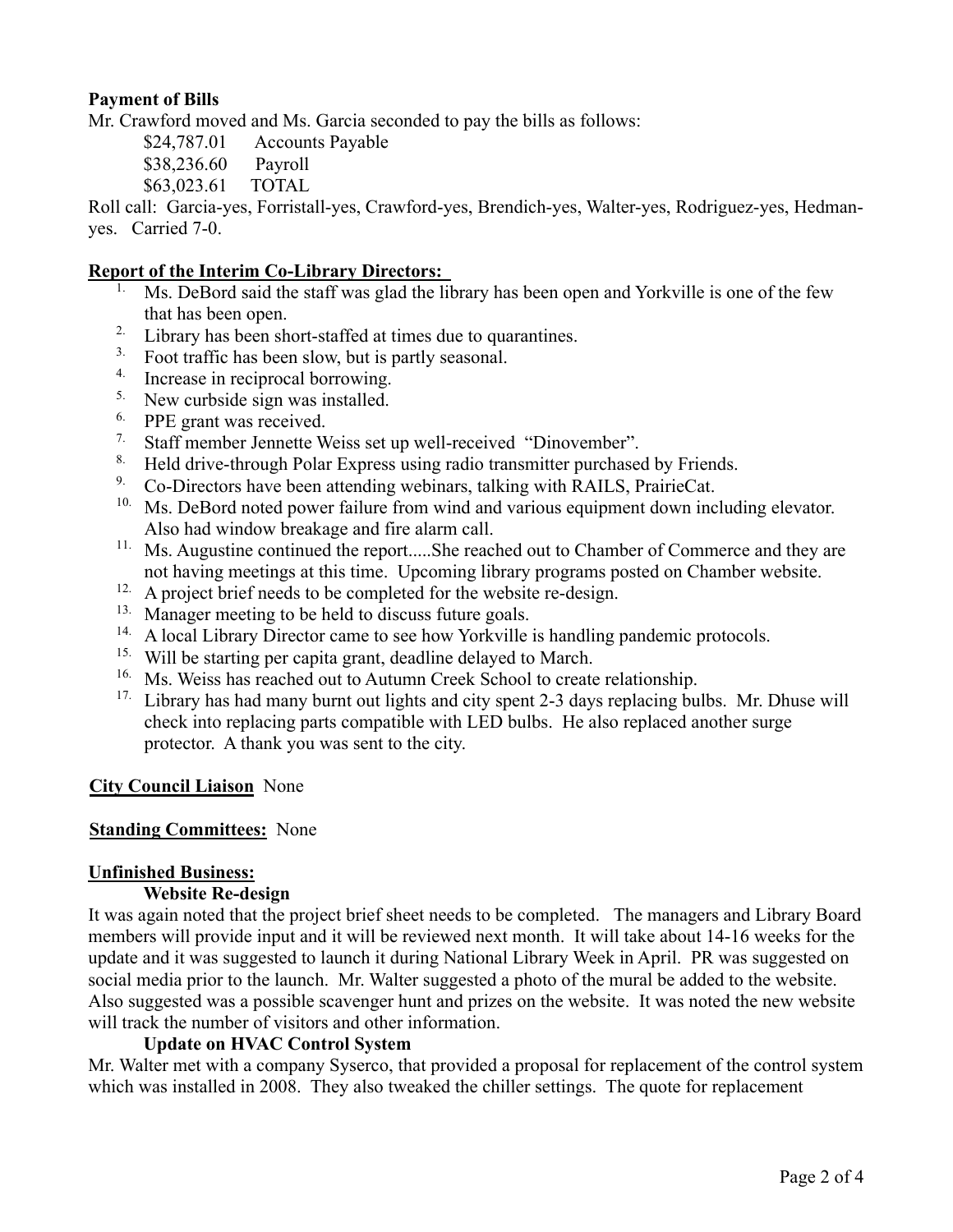## **Payment of Bills**

Mr. Crawford moved and Ms. Garcia seconded to pay the bills as follows:

\$24,787.01 Accounts Payable

\$38,236.60 Payroll

\$63,023.61 TOTAL

Roll call: Garcia-yes, Forristall-yes, Crawford-yes, Brendich-yes, Walter-yes, Rodriguez-yes, Hedmanyes. Carried 7-0.

## **Report of the Interim Co-Library Directors:**

- Ms. DeBord said the staff was glad the library has been open and Yorkville is one of the few that has been open.
- 2. Library has been short-staffed at times due to quarantines.
- <sup>3.</sup> Foot traffic has been slow, but is partly seasonal.
- 4. Increase in reciprocal borrowing.
- <sup>5.</sup> New curbside sign was installed.
- <sup>6.</sup> PPE grant was received.
- 7. Staff member Jennette Weiss set up well-received "Dinovember".
- <sup>8.</sup> Held drive-through Polar Express using radio transmitter purchased by Friends.<br><sup>9.</sup> Co-Directors have been attending webinars, talking with RAILS, PrairieCat.
- 9. Co-Directors have been attending webinars, talking with RAILS, PrairieCat.
- <sup>10.</sup> Ms. DeBord noted power failure from wind and various equipment down including elevator. Also had window breakage and fire alarm call.
- <sup>11.</sup> Ms. Augustine continued the report.....She reached out to Chamber of Commerce and they are not having meetings at this time. Upcoming library programs posted on Chamber website.
- <sup>12.</sup> A project brief needs to be completed for the website re-design.
- <sup>13.</sup> Manager meeting to be held to discuss future goals.
- <sup>14.</sup> A local Library Director came to see how Yorkville is handling pandemic protocols.
- 15. Will be starting per capita grant, deadline delayed to March.
- <sup>16.</sup> Ms. Weiss has reached out to Autumn Creek School to create relationship.
- <sup>17.</sup> Library has had many burnt out lights and city spent 2-3 days replacing bulbs. Mr. Dhuse will check into replacing parts compatible with LED bulbs. He also replaced another surge protector. A thank you was sent to the city.

## **City Council Liaison** None

## **Standing Committees:** None

## **Unfinished Business:**

### **Website Re-design**

It was again noted that the project brief sheet needs to be completed. The managers and Library Board members will provide input and it will be reviewed next month. It will take about 14-16 weeks for the update and it was suggested to launch it during National Library Week in April. PR was suggested on social media prior to the launch. Mr. Walter suggested a photo of the mural be added to the website. Also suggested was a possible scavenger hunt and prizes on the website. It was noted the new website will track the number of visitors and other information.

## **Update on HVAC Control System**

Mr. Walter met with a company Syserco, that provided a proposal for replacement of the control system which was installed in 2008. They also tweaked the chiller settings. The quote for replacement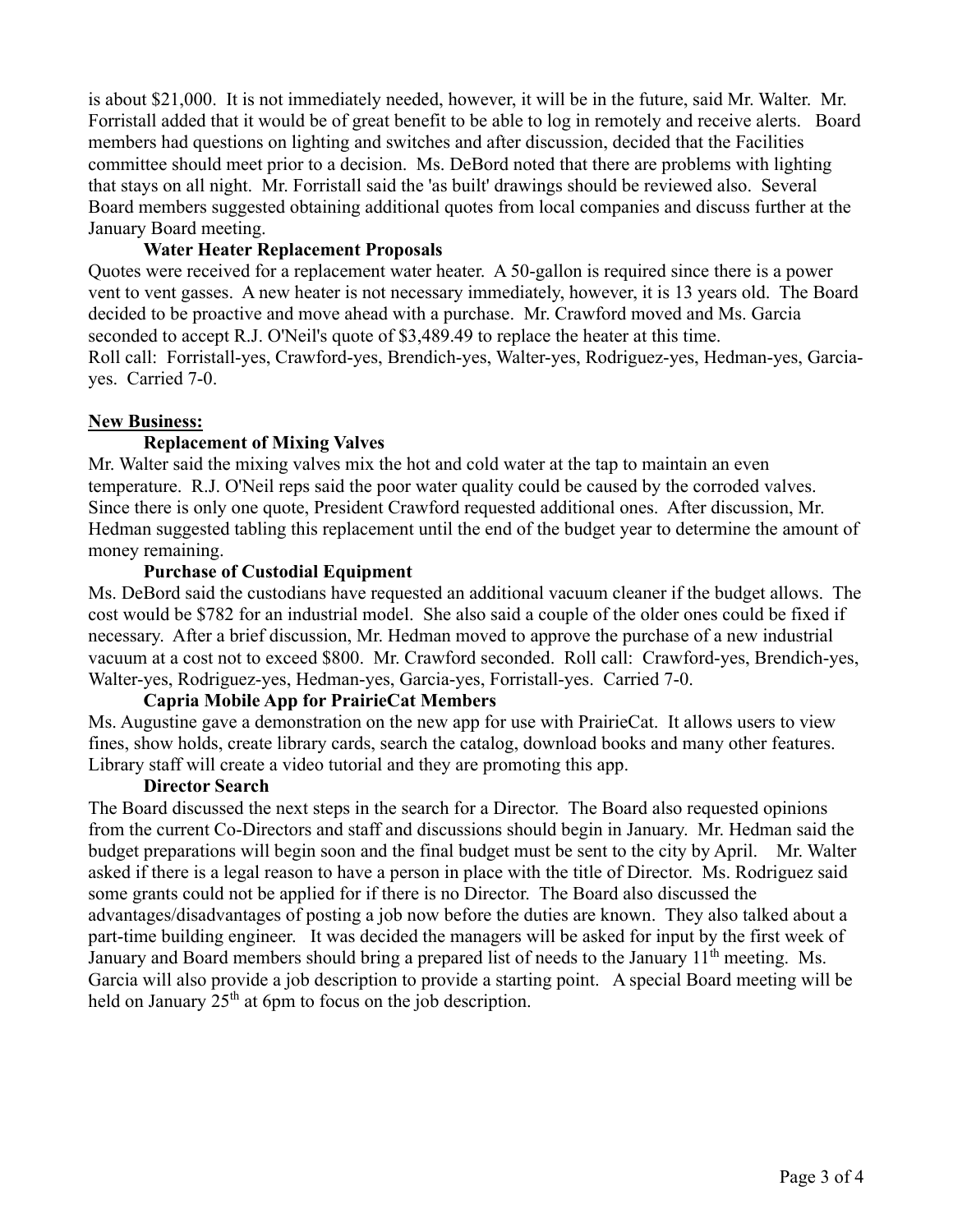is about \$21,000. It is not immediately needed, however, it will be in the future, said Mr. Walter. Mr. Forristall added that it would be of great benefit to be able to log in remotely and receive alerts. Board members had questions on lighting and switches and after discussion, decided that the Facilities committee should meet prior to a decision. Ms. DeBord noted that there are problems with lighting that stays on all night. Mr. Forristall said the 'as built' drawings should be reviewed also. Several Board members suggested obtaining additional quotes from local companies and discuss further at the January Board meeting.

## **Water Heater Replacement Proposals**

Quotes were received for a replacement water heater. A 50-gallon is required since there is a power vent to vent gasses. A new heater is not necessary immediately, however, it is 13 years old. The Board decided to be proactive and move ahead with a purchase. Mr. Crawford moved and Ms. Garcia seconded to accept R.J. O'Neil's quote of \$3,489.49 to replace the heater at this time. Roll call: Forristall-yes, Crawford-yes, Brendich-yes, Walter-yes, Rodriguez-yes, Hedman-yes, Garciayes. Carried 7-0.

## **New Business:**

## **Replacement of Mixing Valves**

Mr. Walter said the mixing valves mix the hot and cold water at the tap to maintain an even temperature. R.J. O'Neil reps said the poor water quality could be caused by the corroded valves. Since there is only one quote, President Crawford requested additional ones. After discussion, Mr. Hedman suggested tabling this replacement until the end of the budget year to determine the amount of money remaining.

## **Purchase of Custodial Equipment**

Ms. DeBord said the custodians have requested an additional vacuum cleaner if the budget allows. The cost would be \$782 for an industrial model. She also said a couple of the older ones could be fixed if necessary. After a brief discussion, Mr. Hedman moved to approve the purchase of a new industrial vacuum at a cost not to exceed \$800. Mr. Crawford seconded. Roll call: Crawford-yes, Brendich-yes, Walter-yes, Rodriguez-yes, Hedman-yes, Garcia-yes, Forristall-yes. Carried 7-0.

### **Capria Mobile App for PrairieCat Members**

Ms. Augustine gave a demonstration on the new app for use with PrairieCat. It allows users to view fines, show holds, create library cards, search the catalog, download books and many other features. Library staff will create a video tutorial and they are promoting this app.

### **Director Search**

The Board discussed the next steps in the search for a Director. The Board also requested opinions from the current Co-Directors and staff and discussions should begin in January. Mr. Hedman said the budget preparations will begin soon and the final budget must be sent to the city by April. Mr. Walter asked if there is a legal reason to have a person in place with the title of Director. Ms. Rodriguez said some grants could not be applied for if there is no Director. The Board also discussed the advantages/disadvantages of posting a job now before the duties are known. They also talked about a part-time building engineer. It was decided the managers will be asked for input by the first week of January and Board members should bring a prepared list of needs to the January 11<sup>th</sup> meeting. Ms. Garcia will also provide a job description to provide a starting point. A special Board meeting will be held on January  $25<sup>th</sup>$  at 6pm to focus on the job description.